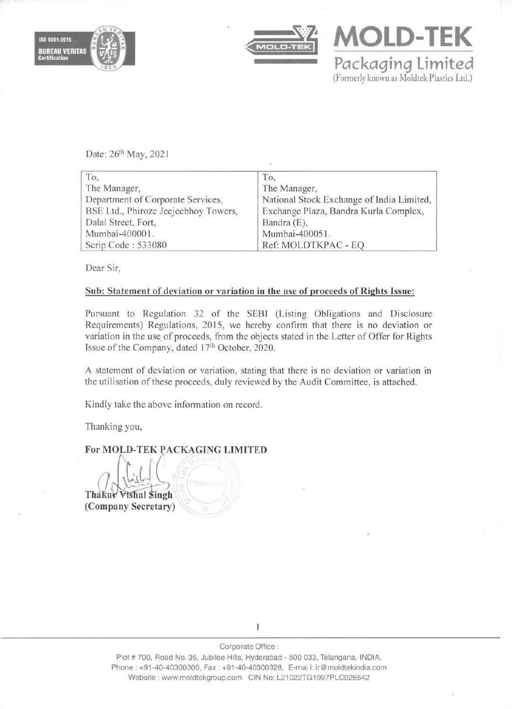



**MOLD-TEK**  Packaging Limited (Formerly known as Moldtek Plastics Ltd.)

Date: 26<sup>th</sup> May, 2021

| To,                                  | To.                                       |
|--------------------------------------|-------------------------------------------|
| The Manager,                         | The Manager,                              |
| Department of Corporate Services,    | National Stock Exchange of India Limited, |
| BSE Ltd., Phiroze Jeejeebhoy Towers, | Exchange Plaza, Bandra Kurla Complex,     |
| Dalal Street, Fort,                  | Bandra (E),                               |
| Mumbai-400001.                       | Mumbai-400051.                            |
| Scrip Code: 533080                   | Ref: MOLDTKPAC - EQ                       |

Dear Sir,

## Sub: Statement of deviation or variation in the use of proceeds of Rights Issue:

Pursuant to Regulation 32 of the SEBI (Listing Obligations and Disclosure Requirements) Regulations, 2015, we hereby confirm that there is no deviation or variation in the use of proceeds, from the objects stated in the Letter of Offer for Rights Issue of the Company, dated 17th October, 2020.

A statement of deviation or variation, stating that there is no deviation or variation in the utilisation of these proceeds, duly reviewed by the Audit Committee, is attached.

Kindly take the above information on record.

Thanking you,

For MOLD-TEK PACKAGING LIMITED

Thakur Vishal Singh (Company Secretary)

1

Plot # 700, Road No. 36, Jubilee Hills, Hyderabad - 500 033, Telangana, INDIA. Phone: +91-40-40300300, Fax: +91-40-40300328, E-mai I: ir@moldtekindia.com Website: www.moldtekgroup.com CIN No: L21022TG1997PLC026542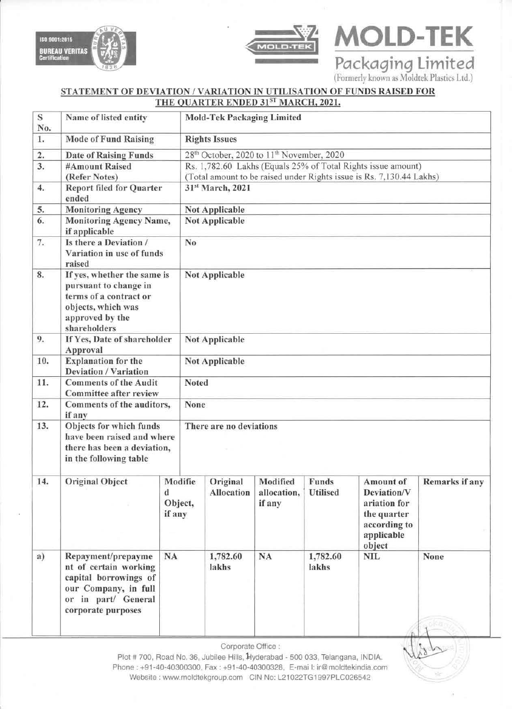



Certification Packaging Limited (Formerlv known as Moldtek Plastics Ltd,)

**MOLD-TEK** 

 $\sim$ 

## STATEMENT OF DEVIATION / VARIATION IN UTILISATION OF FUNDS RAISED FOR THE QUARTER ENDED 31ST MARCH, 2021.

| $\mathbf S$<br>No. | Name of listed entity                                                                                                                     |                                   |                                                                      | <b>Mold-Tek Packaging Limited</b>                            |                                   |                                 |                                                                                                 |                |  |
|--------------------|-------------------------------------------------------------------------------------------------------------------------------------------|-----------------------------------|----------------------------------------------------------------------|--------------------------------------------------------------|-----------------------------------|---------------------------------|-------------------------------------------------------------------------------------------------|----------------|--|
| 1.                 | <b>Mode of Fund Raising</b>                                                                                                               |                                   | <b>Rights Issues</b>                                                 |                                                              |                                   |                                 |                                                                                                 |                |  |
| 2.                 | <b>Date of Raising Funds</b>                                                                                                              |                                   | 28 <sup>th</sup> October, 2020 to 11 <sup>th</sup> November, 2020    |                                                              |                                   |                                 |                                                                                                 |                |  |
| 3.                 | #Amount Raised                                                                                                                            |                                   |                                                                      | Rs. 1,782.60 Lakhs (Equals 25% of Total Rights issue amount) |                                   |                                 |                                                                                                 |                |  |
|                    | (Refer Notes)                                                                                                                             |                                   | (Total amount to be raised under Rights issue is Rs. 7,130.44 Lakhs) |                                                              |                                   |                                 |                                                                                                 |                |  |
| 4.                 | <b>Report filed for Quarter</b><br>ended                                                                                                  |                                   | 31st March, 2021                                                     |                                                              |                                   |                                 |                                                                                                 |                |  |
| 5.                 | <b>Monitoring Agency</b>                                                                                                                  |                                   | <b>Not Applicable</b>                                                |                                                              |                                   |                                 |                                                                                                 |                |  |
| 6.                 | <b>Monitoring Agency Name,</b><br>if applicable                                                                                           |                                   | <b>Not Applicable</b>                                                |                                                              |                                   |                                 |                                                                                                 |                |  |
| 7.                 | Is there a Deviation /<br>Variation in use of funds<br>raised                                                                             |                                   | N <sub>0</sub>                                                       |                                                              |                                   |                                 |                                                                                                 |                |  |
| 8.                 | If yes, whether the same is<br>pursuant to change in<br>terms of a contract or<br>objects, which was<br>approved by the<br>shareholders   |                                   | <b>Not Applicable</b>                                                |                                                              |                                   |                                 |                                                                                                 |                |  |
| 9.                 | If Yes, Date of shareholder<br>Approval                                                                                                   |                                   | <b>Not Applicable</b>                                                |                                                              |                                   |                                 |                                                                                                 |                |  |
| 10.                | <b>Explanation for the</b><br><b>Deviation / Variation</b>                                                                                |                                   | <b>Not Applicable</b>                                                |                                                              |                                   |                                 |                                                                                                 |                |  |
| 11.                | <b>Comments of the Audit</b><br><b>Committee after review</b>                                                                             |                                   | Noted                                                                |                                                              |                                   |                                 |                                                                                                 |                |  |
| 12.                | Comments of the auditors,<br>if any                                                                                                       |                                   |                                                                      | None                                                         |                                   |                                 |                                                                                                 |                |  |
| 13.                | Objects for which funds<br>have been raised and where<br>there has been a deviation,<br>in the following table                            |                                   |                                                                      | There are no deviations                                      |                                   |                                 |                                                                                                 |                |  |
| 14.                | <b>Original Object</b>                                                                                                                    | Modifie<br>d<br>Object,<br>if any |                                                                      | Original<br><b>Allocation</b>                                | Modified<br>allocation,<br>if any | <b>Funds</b><br><b>Utilised</b> | Amount of<br>Deviation/V<br>ariation for<br>the quarter<br>according to<br>applicable<br>object | Remarks if any |  |
| a)                 | Repayment/prepayme<br>nt of certain working<br>capital borrowings of<br>our Company, in full<br>or in part/ General<br>corporate purposes | NA                                |                                                                      | 1,782.60<br>lakhs                                            | <b>NA</b>                         | 1,782.60<br>lakhs               | <b>NIL</b>                                                                                      | None           |  |

Corporate Office:

Plot # 700, Road No. 36, Jubilee Hills, Hyderabad - 500 033, Telangana, INDIA. Phone: +91-40-40300300, Fax: +91-40-40300328, E-mai I: ir@moldtekindia.com Website: www.moldtekgroup.com GIN No: L21022TG1997PLG026542